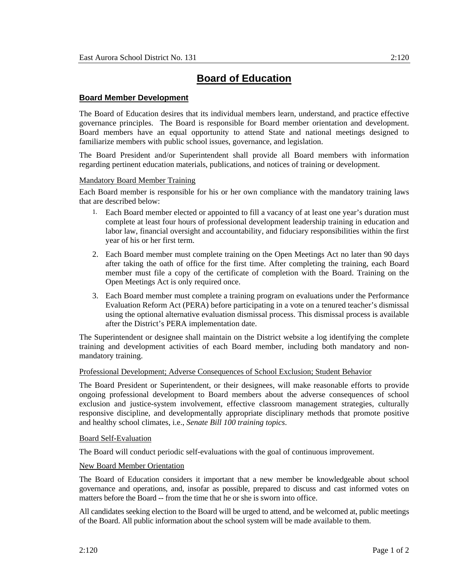# **Board Member Development**

The Board of Education desires that its individual members learn, understand, and practice effective governance principles. The Board is responsible for Board member orientation and development. Board members have an equal opportunity to attend State and national meetings designed to familiarize members with public school issues, governance, and legislation.

The Board President and/or Superintendent shall provide all Board members with information regarding pertinent education materials, publications, and notices of training or development.

## Mandatory Board Member Training

Each Board member is responsible for his or her own compliance with the mandatory training laws that are described below:

- 1. Each Board member elected or appointed to fill a vacancy of at least one year's duration must complete at least four hours of professional development leadership training in education and labor law, financial oversight and accountability, and fiduciary responsibilities within the first year of his or her first term.
- 2. Each Board member must complete training on the Open Meetings Act no later than 90 days after taking the oath of office for the first time. After completing the training, each Board member must file a copy of the certificate of completion with the Board. Training on the Open Meetings Act is only required once.
- 3. Each Board member must complete a training program on evaluations under the Performance Evaluation Reform Act (PERA) before participating in a vote on a tenured teacher's dismissal using the optional alternative evaluation dismissal process. This dismissal process is available after the District's PERA implementation date.

The Superintendent or designee shall maintain on the District website a log identifying the complete training and development activities of each Board member, including both mandatory and nonmandatory training.

### Professional Development; Adverse Consequences of School Exclusion; Student Behavior

The Board President or Superintendent, or their designees, will make reasonable efforts to provide ongoing professional development to Board members about the adverse consequences of school exclusion and justice-system involvement, effective classroom management strategies, culturally responsive discipline, and developmentally appropriate disciplinary methods that promote positive and healthy school climates, i.e., *Senate Bill 100 training topics*.

### Board Self-Evaluation

The Board will conduct periodic self-evaluations with the goal of continuous improvement.

### New Board Member Orientation

The Board of Education considers it important that a new member be knowledgeable about school governance and operations, and, insofar as possible, prepared to discuss and cast informed votes on matters before the Board -- from the time that he or she is sworn into office.

All candidates seeking election to the Board will be urged to attend, and be welcomed at, public meetings of the Board. All public information about the school system will be made available to them.